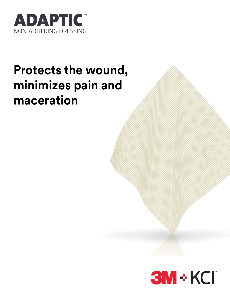

# **Protects the wound, minimizes pain and maceration**

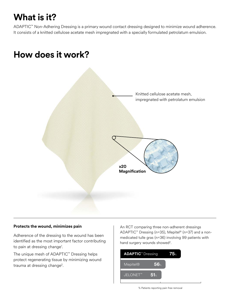# **What is it?**

ADAPTIC™ Non-Adhering Dressing is a primary wound contact dressing designed to minimize wound adherence. It consists of a knitted cellulose acetate mesh impregnated with a specially formulated petrolatum emulsion.

### **How does it work?**



#### **Protects the wound, minimizes pain**

Adherence of the dressing to the wound has been identified as the most important factor contributing to pain at dressing change<sup>1</sup>.

The unique mesh of ADAPTIC™ Dressing helps protect regenerating tissue by minimizing wound trauma at dressing change<sup>2</sup>.

An RCT comparing three non-adherent dressings ADAPTIC™ Dressing (n=35), Mepitel® (n=37) and a nonmedicated tulle gras (n=36) involving 99 patients with hand surgery wounds showed<sup>2</sup>.

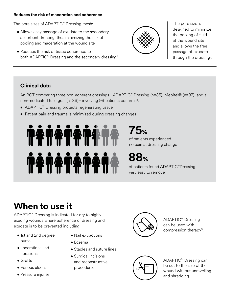#### **Reduces the risk of maceration and adherence**

The pore sizes of ADAPTIC™ Dressing mesh:

- Allows easy passage of exudate to the secondary absorbent dressing, thus minimizing the risk of pooling and maceration at the wound site
- Reduces the risk of tissue adherence to both ADAPTIC™ Dressing and the secondary dressing<sup>2</sup>



The pore size is designed to minimize the pooling of fluid at the wound site and allows the free passage of exudate through the dressing<sup>2</sup>.

### **Clinical data**

An RCT comparing three non-adherent dressings– ADAPTIC™ Dressing (n=35), Mepitel® (n=37) and a non-medicated tulle gras (n=36) – involving 99 patients confirms<sup>2</sup>:

- ADAPTIC™ Dressing protects regenerating tissue
- Patient pain and trauma is minimized during dressing changes



of patients experienced no pain at dressing change **75%**

**88%**

of patients found ADAPTIC™Dressing very easy to remove

# **When to use it**

ADAPTIC™ Dressing is indicated for dry to highly exuding wounds where adherence of dressing and exudate is to be prevented including:

- 1st and 2nd degree burns
- Lacerations and abrasions
- Grafts
- Venous ulcers
- Pressure injuries
- Nail extractions
- Eczema
- Staples and suture lines
- Surgical incisions and reconstructive procedures



ADAPTIC™ Dressing can be used with compression therapy3.



ADAPTIC™ Dressing can be cut to the size of the wound without unravelling and shredding.